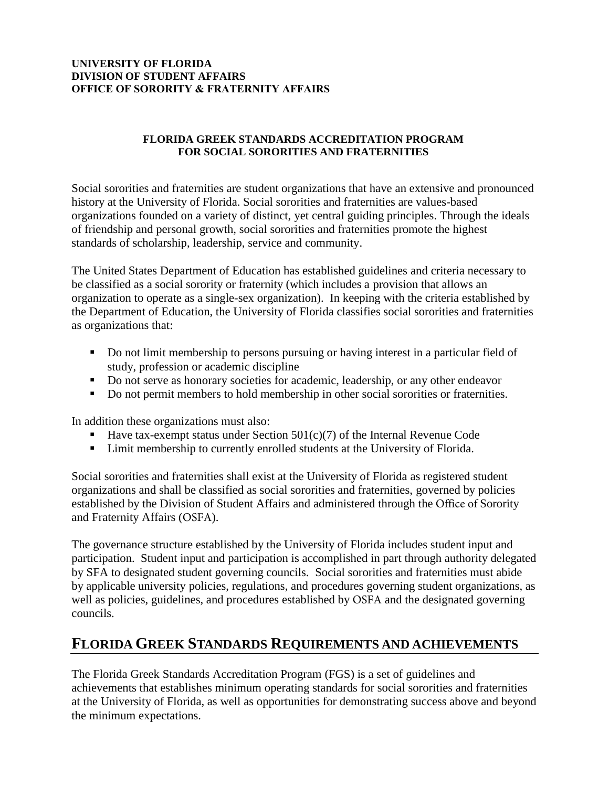#### **UNIVERSITY OF FLORIDA DIVISION OF STUDENT AFFAIRS OFFICE OF SORORITY & FRATERNITY AFFAIRS**

#### **FLORIDA GREEK STANDARDS ACCREDITATION PROGRAM FOR SOCIAL SORORITIES AND FRATERNITIES**

Social sororities and fraternities are student organizations that have an extensive and pronounced history at the University of Florida. Social sororities and fraternities are values-based organizations founded on a variety of distinct, yet central guiding principles. Through the ideals of friendship and personal growth, social sororities and fraternities promote the highest standards of scholarship, leadership, service and community.

The United States Department of Education has established guidelines and criteria necessary to be classified as a social sorority or fraternity (which includes a provision that allows an organization to operate as a single-sex organization). In keeping with the criteria established by the Department of Education, the University of Florida classifies social sororities and fraternities as organizations that:

- Do not limit membership to persons pursuing or having interest in a particular field of study, profession or academic discipline
- Do not serve as honorary societies for academic, leadership, or any other endeavor
- Do not permit members to hold membership in other social sororities or fraternities.

In addition these organizations must also:

- Have tax-exempt status under Section 501(c)(7) of the Internal Revenue Code
- Limit membership to currently enrolled students at the University of Florida.

Social sororities and fraternities shall exist at the University of Florida as registered student organizations and shall be classified as social sororities and fraternities, governed by policies established by the Division of Student Affairs and administered through the Office of Sorority and Fraternity Affairs (OSFA).

The governance structure established by the University of Florida includes student input and participation. Student input and participation is accomplished in part through authority delegated by SFA to designated student governing councils. Social sororities and fraternities must abide by applicable university policies, regulations, and procedures governing student organizations, as well as policies, guidelines, and procedures established by OSFA and the designated governing councils.

## **FLORIDA GREEK STANDARDS REQUIREMENTS AND ACHIEVEMENTS**

The Florida Greek Standards Accreditation Program (FGS) is a set of guidelines and achievements that establishes minimum operating standards for social sororities and fraternities at the University of Florida, as well as opportunities for demonstrating success above and beyond the minimum expectations.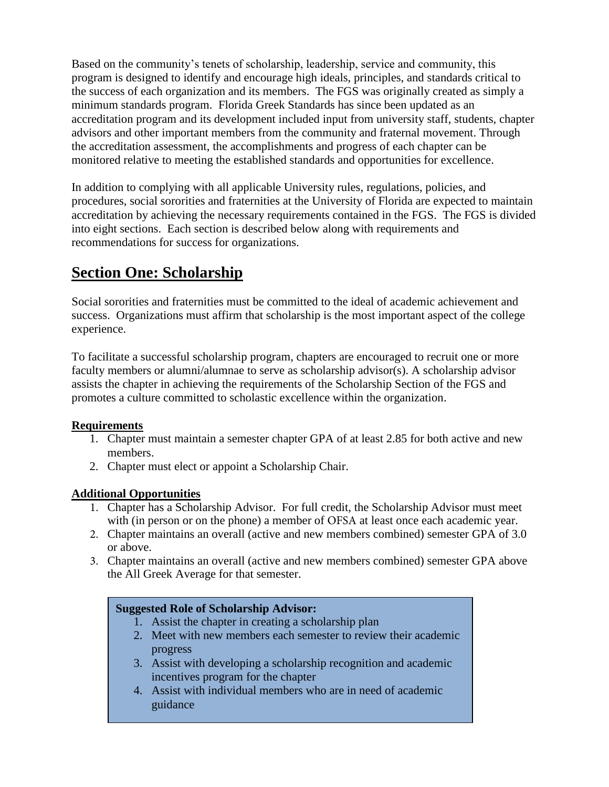Based on the community's tenets of scholarship, leadership, service and community, this program is designed to identify and encourage high ideals, principles, and standards critical to the success of each organization and its members. The FGS was originally created as simply a minimum standards program. Florida Greek Standards has since been updated as an accreditation program and its development included input from university staff, students, chapter advisors and other important members from the community and fraternal movement. Through the accreditation assessment, the accomplishments and progress of each chapter can be monitored relative to meeting the established standards and opportunities for excellence.

In addition to complying with all applicable University rules, regulations, policies, and procedures, social sororities and fraternities at the University of Florida are expected to maintain accreditation by achieving the necessary requirements contained in the FGS. The FGS is divided into eight sections. Each section is described below along with requirements and recommendations for success for organizations.

# **Section One: Scholarship**

Social sororities and fraternities must be committed to the ideal of academic achievement and success. Organizations must affirm that scholarship is the most important aspect of the college experience.

To facilitate a successful scholarship program, chapters are encouraged to recruit one or more faculty members or alumni/alumnae to serve as scholarship advisor(s). A scholarship advisor assists the chapter in achieving the requirements of the Scholarship Section of the FGS and promotes a culture committed to scholastic excellence within the organization.

#### **Requirements**

- 1. Chapter must maintain a semester chapter GPA of at least 2.85 for both active and new members.
- 2. Chapter must elect or appoint a Scholarship Chair.

#### **Additional Opportunities**

- 1. Chapter has a Scholarship Advisor. For full credit, the Scholarship Advisor must meet with (in person or on the phone) a member of OFSA at least once each academic year.
- 2. Chapter maintains an overall (active and new members combined) semester GPA of 3.0 or above.
- 3. Chapter maintains an overall (active and new members combined) semester GPA above the All Greek Average for that semester.

#### **Suggested Role of Scholarship Advisor:**

- 1. Assist the chapter in creating a scholarship plan
- 2. Meet with new members each semester to review their academic progress
- 3. Assist with developing a scholarship recognition and academic incentives program for the chapter
- 4. Assist with individual members who are in need of academic guidance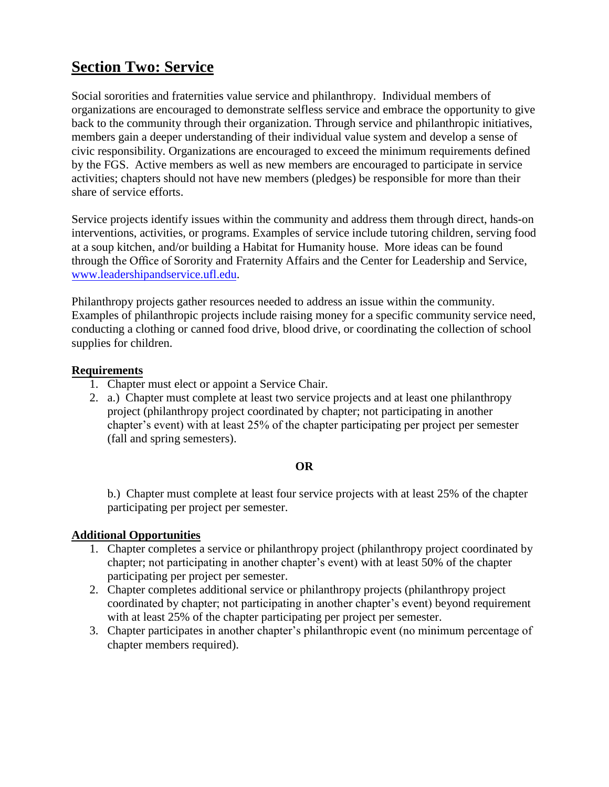# **Section Two: Service**

Social sororities and fraternities value service and philanthropy. Individual members of organizations are encouraged to demonstrate selfless service and embrace the opportunity to give back to the community through their organization. Through service and philanthropic initiatives, members gain a deeper understanding of their individual value system and develop a sense of civic responsibility. Organizations are encouraged to exceed the minimum requirements defined by the FGS. Active members as well as new members are encouraged to participate in service activities; chapters should not have new members (pledges) be responsible for more than their share of service efforts.

Service projects identify issues within the community and address them through direct, hands-on interventions, activities, or programs. Examples of service include tutoring children, serving food at a soup kitchen, and/or building a Habitat for Humanity house. More ideas can be found through the Office of Sorority and Fraternity Affairs and the Center for Leadership and Service, [www.leadershipandservice.ufl.edu.](http://www.leadershipandservice.ufl.edu/)

Philanthropy projects gather resources needed to address an issue within the community. Examples of philanthropic projects include raising money for a specific community service need, conducting a clothing or canned food drive, blood drive, or coordinating the collection of school supplies for children.

#### **Requirements**

- 1. Chapter must elect or appoint a Service Chair.
- 2. a.) Chapter must complete at least two service projects and at least one philanthropy project (philanthropy project coordinated by chapter; not participating in another chapter's event) with at least 25% of the chapter participating per project per semester (fall and spring semesters).

#### **OR**

b.) Chapter must complete at least four service projects with at least 25% of the chapter participating per project per semester.

#### **Additional Opportunities**

- 1. Chapter completes a service or philanthropy project (philanthropy project coordinated by chapter; not participating in another chapter's event) with at least 50% of the chapter participating per project per semester.
- 2. Chapter completes additional service or philanthropy projects (philanthropy project coordinated by chapter; not participating in another chapter's event) beyond requirement with at least 25% of the chapter participating per project per semester.
- 3. Chapter participates in another chapter's philanthropic event (no minimum percentage of chapter members required).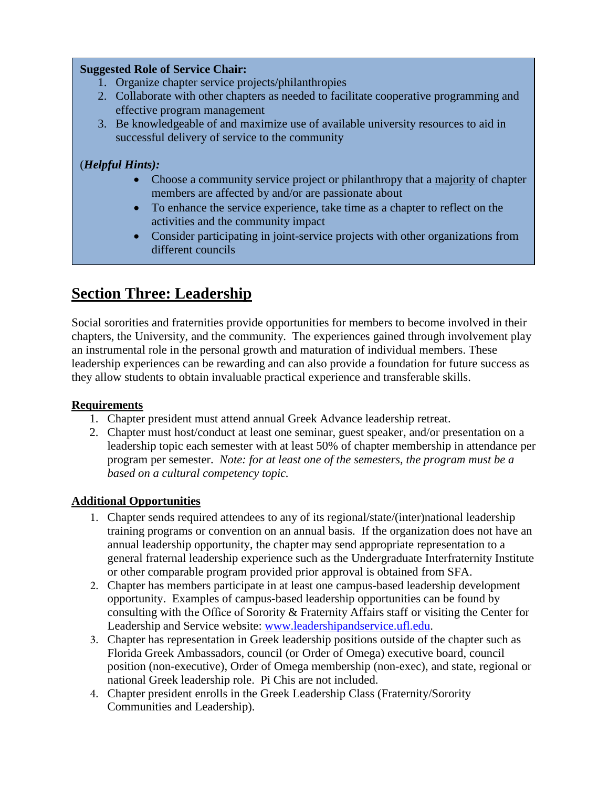#### **Suggested Role of Service Chair:**

- 1. Organize chapter service projects/philanthropies
- 2. Collaborate with other chapters as needed to facilitate cooperative programming and effective program management
- 3. Be knowledgeable of and maximize use of available university resources to aid in successful delivery of service to the community

### (*Helpful Hints):*

- Choose a community service project or philanthropy that a majority of chapter members are affected by and/or are passionate about
- To enhance the service experience, take time as a chapter to reflect on the activities and the community impact
- Consider participating in joint-service projects with other organizations from different councils

# **Section Three: Leadership**

Social sororities and fraternities provide opportunities for members to become involved in their chapters, the University, and the community. The experiences gained through involvement play an instrumental role in the personal growth and maturation of individual members. These leadership experiences can be rewarding and can also provide a foundation for future success as they allow students to obtain invaluable practical experience and transferable skills.

### **Requirements**

- 1. Chapter president must attend annual Greek Advance leadership retreat.
- 2. Chapter must host/conduct at least one seminar, guest speaker, and/or presentation on a leadership topic each semester with at least 50% of chapter membership in attendance per program per semester. *Note: for at least one of the semesters, the program must be a based on a cultural competency topic.*

#### **Additional Opportunities**

- 1. Chapter sends required attendees to any of its regional/state/(inter)national leadership training programs or convention on an annual basis. If the organization does not have an annual leadership opportunity, the chapter may send appropriate representation to a general fraternal leadership experience such as the Undergraduate Interfraternity Institute or other comparable program provided prior approval is obtained from SFA.
- 2. Chapter has members participate in at least one campus-based leadership development opportunity. Examples of campus-based leadership opportunities can be found by consulting with the Office of Sorority & Fraternity Affairs staff or visiting the Center for Leadership and Service website: [www.leadershipandservice.ufl.edu.](http://www.leadershipandservice.ufl.edu/)
- 3. Chapter has representation in Greek leadership positions outside of the chapter such as Florida Greek Ambassadors, council (or Order of Omega) executive board, council position (non-executive), Order of Omega membership (non-exec), and state, regional or national Greek leadership role. Pi Chis are not included.
- 4. Chapter president enrolls in the Greek Leadership Class (Fraternity/Sorority Communities and Leadership).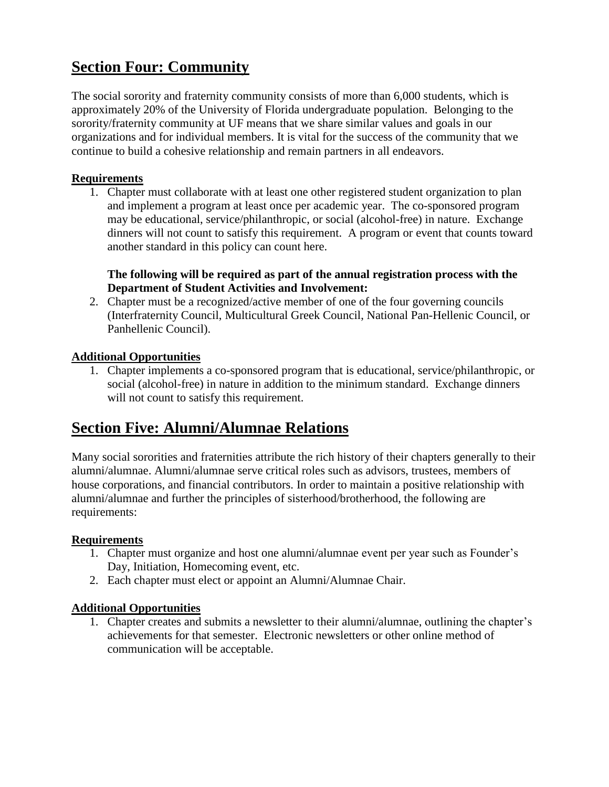# **Section Four: Community**

The social sorority and fraternity community consists of more than 6,000 students, which is approximately 20% of the University of Florida undergraduate population. Belonging to the sorority/fraternity community at UF means that we share similar values and goals in our organizations and for individual members. It is vital for the success of the community that we continue to build a cohesive relationship and remain partners in all endeavors.

#### **Requirements**

1. Chapter must collaborate with at least one other registered student organization to plan and implement a program at least once per academic year. The co-sponsored program may be educational, service/philanthropic, or social (alcohol-free) in nature. Exchange dinners will not count to satisfy this requirement. A program or event that counts toward another standard in this policy can count here.

#### **The following will be required as part of the annual registration process with the Department of Student Activities and Involvement:**

2. Chapter must be a recognized/active member of one of the four governing councils (Interfraternity Council, Multicultural Greek Council, National Pan-Hellenic Council, or Panhellenic Council).

#### **Additional Opportunities**

1. Chapter implements a co-sponsored program that is educational, service/philanthropic, or social (alcohol-free) in nature in addition to the minimum standard. Exchange dinners will not count to satisfy this requirement.

# **Section Five: Alumni/Alumnae Relations**

Many social sororities and fraternities attribute the rich history of their chapters generally to their alumni/alumnae. Alumni/alumnae serve critical roles such as advisors, trustees, members of house corporations, and financial contributors. In order to maintain a positive relationship with alumni/alumnae and further the principles of sisterhood/brotherhood, the following are requirements:

#### **Requirements**

- 1. Chapter must organize and host one alumni/alumnae event per year such as Founder's Day, Initiation, Homecoming event, etc.
- 2. Each chapter must elect or appoint an Alumni/Alumnae Chair.

#### **Additional Opportunities**

1. Chapter creates and submits a newsletter to their alumni/alumnae, outlining the chapter's achievements for that semester. Electronic newsletters or other online method of communication will be acceptable.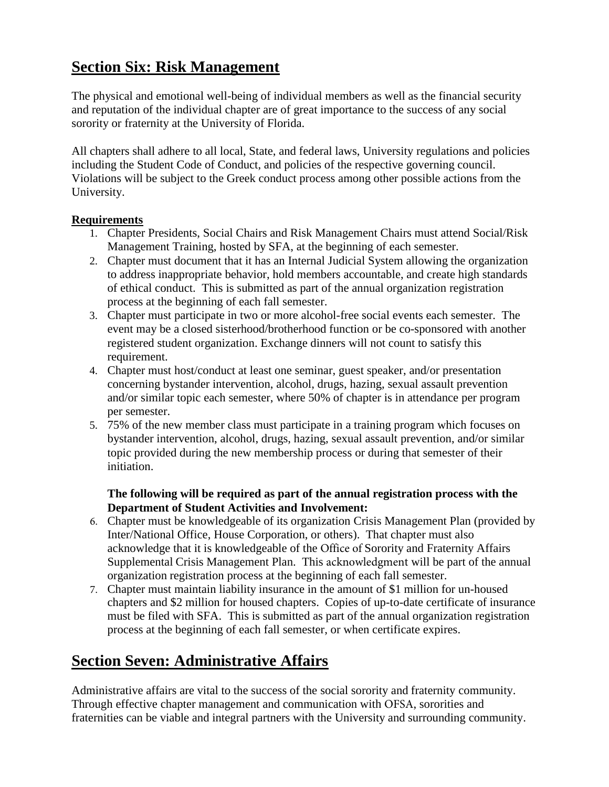# **Section Six: Risk Management**

The physical and emotional well-being of individual members as well as the financial security and reputation of the individual chapter are of great importance to the success of any social sorority or fraternity at the University of Florida.

All chapters shall adhere to all local, State, and federal laws, University regulations and policies including the Student Code of Conduct, and policies of the respective governing council. Violations will be subject to the Greek conduct process among other possible actions from the University.

#### **Requirements**

- 1. Chapter Presidents, Social Chairs and Risk Management Chairs must attend Social/Risk Management Training, hosted by SFA, at the beginning of each semester.
- 2. Chapter must document that it has an Internal Judicial System allowing the organization to address inappropriate behavior, hold members accountable, and create high standards of ethical conduct. This is submitted as part of the annual organization registration process at the beginning of each fall semester.
- 3. Chapter must participate in two or more alcohol-free social events each semester. The event may be a closed sisterhood/brotherhood function or be co-sponsored with another registered student organization. Exchange dinners will not count to satisfy this requirement.
- 4. Chapter must host/conduct at least one seminar, guest speaker, and/or presentation concerning bystander intervention, alcohol, drugs, hazing, sexual assault prevention and/or similar topic each semester, where 50% of chapter is in attendance per program per semester.
- 5. 75% of the new member class must participate in a training program which focuses on bystander intervention, alcohol, drugs, hazing, sexual assault prevention, and/or similar topic provided during the new membership process or during that semester of their initiation.

#### **The following will be required as part of the annual registration process with the Department of Student Activities and Involvement:**

- 6. Chapter must be knowledgeable of its organization Crisis Management Plan (provided by Inter/National Office, House Corporation, or others). That chapter must also acknowledge that it is knowledgeable of the Office of Sorority and Fraternity Affairs Supplemental Crisis Management Plan. This acknowledgment will be part of the annual organization registration process at the beginning of each fall semester.
- 7. Chapter must maintain liability insurance in the amount of \$1 million for un-housed chapters and \$2 million for housed chapters. Copies of up-to-date certificate of insurance must be filed with SFA. This is submitted as part of the annual organization registration process at the beginning of each fall semester, or when certificate expires.

# **Section Seven: Administrative Affairs**

Administrative affairs are vital to the success of the social sorority and fraternity community. Through effective chapter management and communication with OFSA, sororities and fraternities can be viable and integral partners with the University and surrounding community.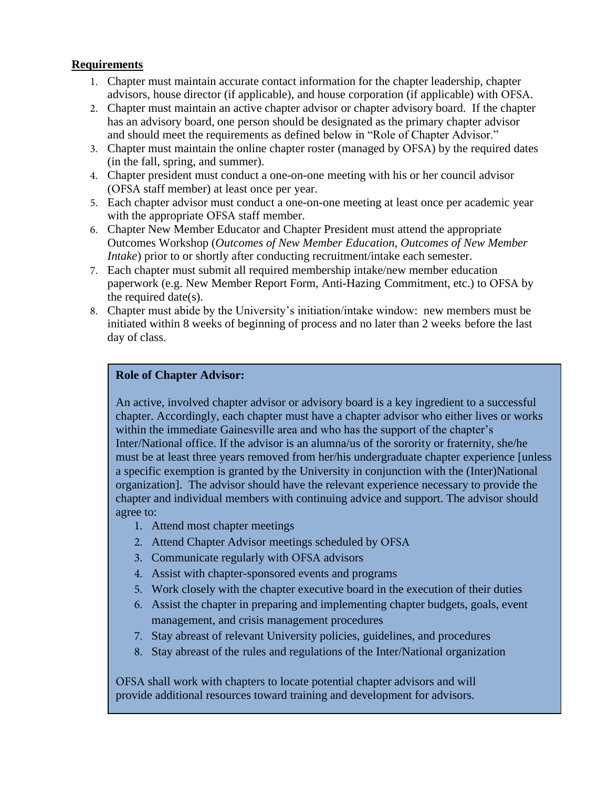#### **Requirements**

- 1. Chapter must maintain accurate contact information for the chapter leadership, chapter advisors, house director (if applicable), and house corporation (if applicable) with OFSA.
- 2. Chapter must maintain an active chapter advisor or chapter advisory board. If the chapter has an advisory board, one person should be designated as the primary chapter advisor and should meet the requirements as defined below in "Role of Chapter Advisor."
- 3. Chapter must maintain the online chapter roster (managed by OFSA) by the required dates (in the fall, spring, and summer).
- 4. Chapter president must conduct a one-on-one meeting with his or her council advisor (OFSA staff member) at least once per year.
- 5. Each chapter advisor must conduct a one-on-one meeting at least once per academic year with the appropriate OFSA staff member.
- 6. Chapter New Member Educator and Chapter President must attend the appropriate Outcomes Workshop (*Outcomes of New Member Education, Outcomes of New Member Intake*) prior to or shortly after conducting recruitment/intake each semester.
- 7. Each chapter must submit all required membership intake/new member education paperwork (e.g. New Member Report Form, Anti-Hazing Commitment, etc.) to OFSA by the required date(s).
- 8. Chapter must abide by the University's initiation/intake window: new members must be initiated within 8 weeks of beginning of process and no later than 2 weeks before the last day of class.

#### **Role of Chapter Advisor:**

An active, involved chapter advisor or advisory board is a key ingredient to a successful chapter. Accordingly, each chapter must have a chapter advisor who either lives or works within the immediate Gainesville area and who has the support of the chapter's Inter/National office. If the advisor is an alumna/us of the sorority or fraternity, she/he must be at least three years removed from her/his undergraduate chapter experience [unless a specific exemption is granted by the University in conjunction with the (Inter)National organization]. The advisor should have the relevant experience necessary to provide the chapter and individual members with continuing advice and support. The advisor should agree to:

- 1. Attend most chapter meetings
- 2. Attend Chapter Advisor meetings scheduled by OFSA
- 3. Communicate regularly with OFSA advisors
- 4. Assist with chapter-sponsored events and programs
- 5. Work closely with the chapter executive board in the execution of their duties
- 6. Assist the chapter in preparing and implementing chapter budgets, goals, event management, and crisis management procedures
- 7. Stay abreast of relevant University policies, guidelines, and procedures
- 8. Stay abreast of the rules and regulations of the Inter/National organization

OFSA shall work with chapters to locate potential chapter advisors and will provide additional resources toward training and development for advisors.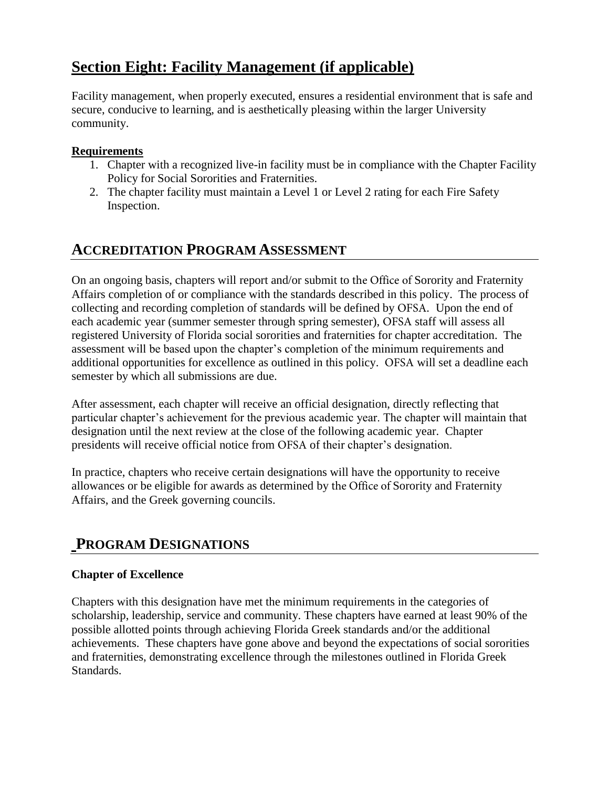# **Section Eight: Facility Management (if applicable)**

Facility management, when properly executed, ensures a residential environment that is safe and secure, conducive to learning, and is aesthetically pleasing within the larger University community.

#### **Requirements**

- 1. Chapter with a recognized live-in facility must be in compliance with the Chapter Facility Policy for Social Sororities and Fraternities.
- 2. The chapter facility must maintain a Level 1 or Level 2 rating for each Fire Safety Inspection.

## **ACCREDITATION PROGRAM ASSESSMENT**

On an ongoing basis, chapters will report and/or submit to the Office of Sorority and Fraternity Affairs completion of or compliance with the standards described in this policy. The process of collecting and recording completion of standards will be defined by OFSA. Upon the end of each academic year (summer semester through spring semester), OFSA staff will assess all registered University of Florida social sororities and fraternities for chapter accreditation. The assessment will be based upon the chapter's completion of the minimum requirements and additional opportunities for excellence as outlined in this policy. OFSA will set a deadline each semester by which all submissions are due.

After assessment, each chapter will receive an official designation, directly reflecting that particular chapter's achievement for the previous academic year. The chapter will maintain that designation until the next review at the close of the following academic year. Chapter presidents will receive official notice from OFSA of their chapter's designation.

In practice, chapters who receive certain designations will have the opportunity to receive allowances or be eligible for awards as determined by the Office of Sorority and Fraternity Affairs, and the Greek governing councils.

## **PROGRAM DESIGNATIONS**

### **Chapter of Excellence**

Chapters with this designation have met the minimum requirements in the categories of scholarship, leadership, service and community. These chapters have earned at least 90% of the possible allotted points through achieving Florida Greek standards and/or the additional achievements. These chapters have gone above and beyond the expectations of social sororities and fraternities, demonstrating excellence through the milestones outlined in Florida Greek Standards.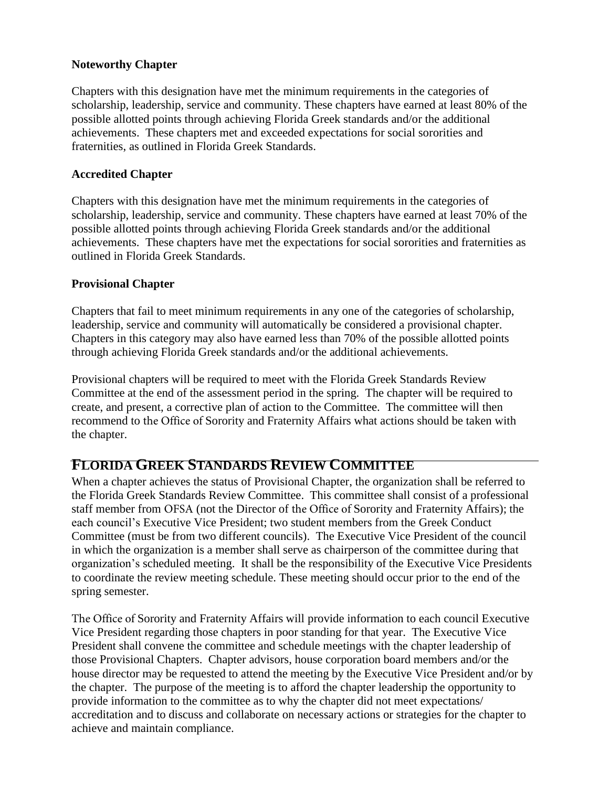#### **Noteworthy Chapter**

Chapters with this designation have met the minimum requirements in the categories of scholarship, leadership, service and community. These chapters have earned at least 80% of the possible allotted points through achieving Florida Greek standards and/or the additional achievements. These chapters met and exceeded expectations for social sororities and fraternities, as outlined in Florida Greek Standards.

#### **Accredited Chapter**

Chapters with this designation have met the minimum requirements in the categories of scholarship, leadership, service and community. These chapters have earned at least 70% of the possible allotted points through achieving Florida Greek standards and/or the additional achievements. These chapters have met the expectations for social sororities and fraternities as outlined in Florida Greek Standards.

#### **Provisional Chapter**

Chapters that fail to meet minimum requirements in any one of the categories of scholarship, leadership, service and community will automatically be considered a provisional chapter. Chapters in this category may also have earned less than 70% of the possible allotted points through achieving Florida Greek standards and/or the additional achievements.

Provisional chapters will be required to meet with the Florida Greek Standards Review Committee at the end of the assessment period in the spring. The chapter will be required to create, and present, a corrective plan of action to the Committee. The committee will then recommend to the Office of Sorority and Fraternity Affairs what actions should be taken with the chapter.

### **FLORIDA GREEK STANDARDS REVIEW COMMITTEE**

When a chapter achieves the status of Provisional Chapter, the organization shall be referred to the Florida Greek Standards Review Committee. This committee shall consist of a professional staff member from OFSA (not the Director of the Office of Sorority and Fraternity Affairs); the each council's Executive Vice President; two student members from the Greek Conduct Committee (must be from two different councils). The Executive Vice President of the council in which the organization is a member shall serve as chairperson of the committee during that organization's scheduled meeting. It shall be the responsibility of the Executive Vice Presidents to coordinate the review meeting schedule. These meeting should occur prior to the end of the spring semester.

The Office of Sorority and Fraternity Affairs will provide information to each council Executive Vice President regarding those chapters in poor standing for that year. The Executive Vice President shall convene the committee and schedule meetings with the chapter leadership of those Provisional Chapters. Chapter advisors, house corporation board members and/or the house director may be requested to attend the meeting by the Executive Vice President and/or by the chapter. The purpose of the meeting is to afford the chapter leadership the opportunity to provide information to the committee as to why the chapter did not meet expectations/ accreditation and to discuss and collaborate on necessary actions or strategies for the chapter to achieve and maintain compliance.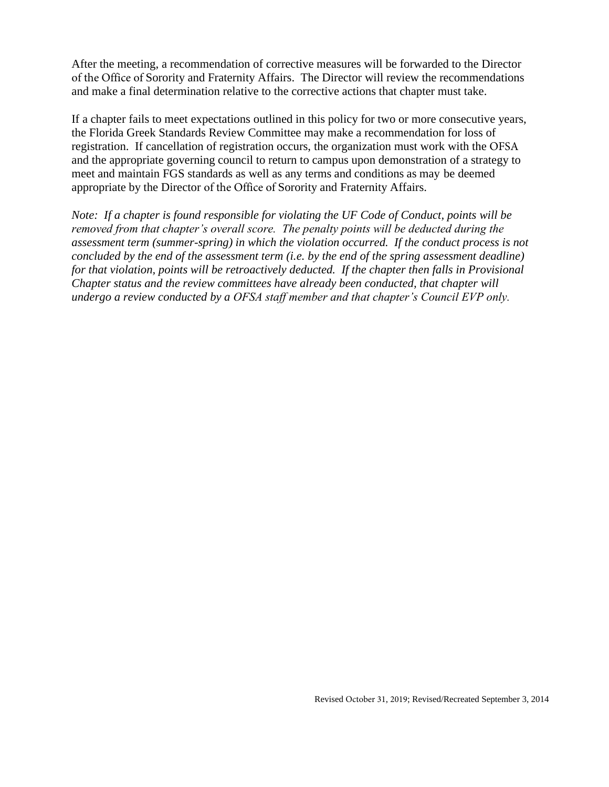After the meeting, a recommendation of corrective measures will be forwarded to the Director of the Office of Sorority and Fraternity Affairs. The Director will review the recommendations and make a final determination relative to the corrective actions that chapter must take.

If a chapter fails to meet expectations outlined in this policy for two or more consecutive years, the Florida Greek Standards Review Committee may make a recommendation for loss of registration. If cancellation of registration occurs, the organization must work with the OFSA and the appropriate governing council to return to campus upon demonstration of a strategy to meet and maintain FGS standards as well as any terms and conditions as may be deemed appropriate by the Director of the Office of Sorority and Fraternity Affairs.

*Note: If a chapter is found responsible for violating the UF Code of Conduct, points will be removed from that chapter's overall score. The penalty points will be deducted during the assessment term (summer-spring) in which the violation occurred. If the conduct process is not concluded by the end of the assessment term (i.e. by the end of the spring assessment deadline) for that violation, points will be retroactively deducted. If the chapter then falls in Provisional Chapter status and the review committees have already been conducted, that chapter will undergo a review conducted by a OFSA staff member and that chapter's Council EVP only.*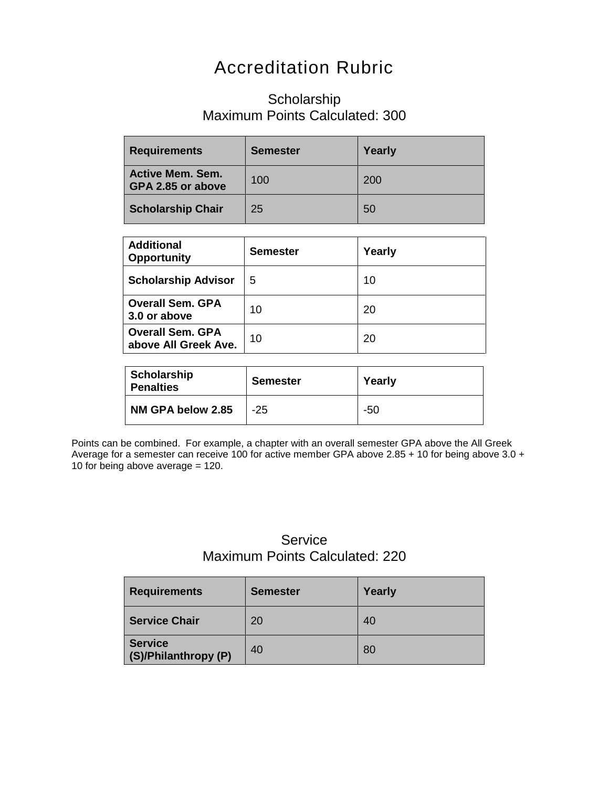# Accreditation Rubric

### Scholarship Maximum Points Calculated: 300

| <b>Requirements</b>                          | <b>Semester</b> | Yearly |
|----------------------------------------------|-----------------|--------|
| <b>Active Mem. Sem.</b><br>GPA 2.85 or above | 100             | 200    |
| <b>Scholarship Chair</b>                     | 25              | 50     |

| <b>Additional</b><br><b>Opportunity</b>         | <b>Semester</b> | Yearly |
|-------------------------------------------------|-----------------|--------|
| <b>Scholarship Advisor</b>                      | 5               | 10     |
| <b>Overall Sem. GPA</b><br>3.0 or above         | 10              | 20     |
| <b>Overall Sem. GPA</b><br>above All Greek Ave. | 10              | 20     |

| Scholarship<br><b>Penalties</b> | <b>Semester</b> | Yearly |
|---------------------------------|-----------------|--------|
| NM GPA below 2.85               | -25             | -50    |

Points can be combined. For example, a chapter with an overall semester GPA above the All Greek Average for a semester can receive 100 for active member GPA above 2.85 + 10 for being above 3.0 + 10 for being above average  $= 120$ .

## **Service** Maximum Points Calculated: 220

| <b>Requirements</b>                    | <b>Semester</b> | Yearly |
|----------------------------------------|-----------------|--------|
| <b>Service Chair</b>                   | 20              | 40     |
| <b>Service</b><br>(S)/Philanthropy (P) | 40              | 80     |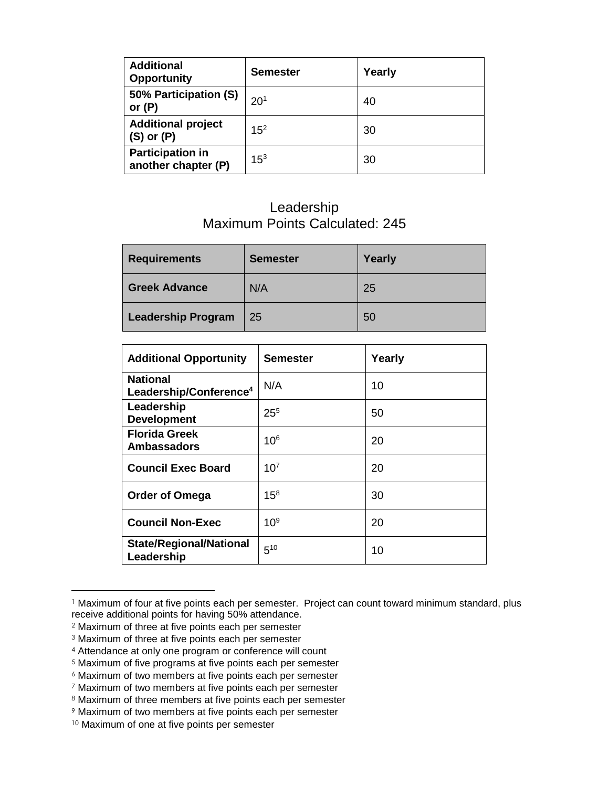| <b>Additional</b><br><b>Opportunity</b>        | <b>Semester</b> | Yearly |
|------------------------------------------------|-----------------|--------|
| 50% Participation (S)<br>or $(P)$              | 20 <sup>1</sup> | 40     |
| <b>Additional project</b><br>$(S)$ or $(P)$    | 15 <sup>2</sup> | 30     |
| <b>Participation in</b><br>another chapter (P) | $15^{3}$        | 30     |

### Leadership Maximum Points Calculated: 245

| <b>Requirements</b>       | <b>Semester</b> | Yearly |
|---------------------------|-----------------|--------|
| <b>Greek Advance</b>      | N/A             | 25     |
| <b>Leadership Program</b> | 25              | 50     |

| <b>Additional Opportunity</b>                         | <b>Semester</b> | Yearly |
|-------------------------------------------------------|-----------------|--------|
| <b>National</b><br>Leadership/Conference <sup>4</sup> | N/A             | 10     |
| Leadership<br><b>Development</b>                      | $25^{5}$        | 50     |
| <b>Florida Greek</b><br><b>Ambassadors</b>            | 10 <sup>6</sup> | 20     |
| <b>Council Exec Board</b>                             | $10^{7}$        | 20     |
| <b>Order of Omega</b>                                 | $15^{8}$        | 30     |
| <b>Council Non-Exec</b>                               | 10 <sup>9</sup> | 20     |
| <b>State/Regional/National</b><br>Leadership          | $5^{10}$        | 10     |

<sup>&</sup>lt;sup>1</sup> Maximum of four at five points each per semester. Project can count toward minimum standard, plus receive additional points for having 50% attendance.

<sup>2</sup> Maximum of three at five points each per semester

<sup>3</sup> Maximum of three at five points each per semester

<sup>4</sup> Attendance at only one program or conference will count

<sup>5</sup> Maximum of five programs at five points each per semester

<sup>6</sup> Maximum of two members at five points each per semester

<sup>7</sup> Maximum of two members at five points each per semester

<sup>8</sup> Maximum of three members at five points each per semester

<sup>9</sup> Maximum of two members at five points each per semester

<sup>10</sup> Maximum of one at five points per semester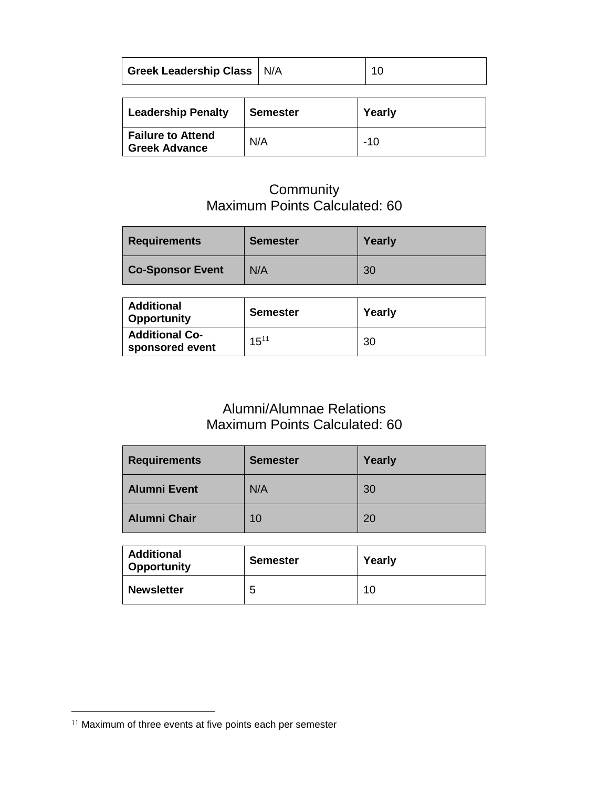| Greek Leadership Class N/A |  |
|----------------------------|--|
|                            |  |
|                            |  |

| <b>Leadership Penalty</b>                        | <b>Semester</b> | Yearly |
|--------------------------------------------------|-----------------|--------|
| <b>Failure to Attend</b><br><b>Greek Advance</b> | N/A             | -10    |

### **Community** Maximum Points Calculated: 60

| <b>Requirements</b>     | <b>Semester</b> | Yearly |
|-------------------------|-----------------|--------|
| <b>Co-Sponsor Event</b> | N/A             | 30     |

| <b>Additional</b><br><b>Opportunity</b>  | <b>Semester</b> | Yearly |
|------------------------------------------|-----------------|--------|
| <b>Additional Co-</b><br>sponsored event | $15^{11}$       | 30     |

# Alumni/Alumnae Relations Maximum Points Calculated: 60

| <b>Requirements</b> | <b>Semester</b> | Yearly |
|---------------------|-----------------|--------|
| <b>Alumni Event</b> | N/A             | 30     |
| <b>Alumni Chair</b> | 10              | 20     |

| <b>Additional</b><br><b>Opportunity</b> | <b>Semester</b> | Yearly |
|-----------------------------------------|-----------------|--------|
| <b>Newsletter</b>                       | 5               | 10     |

<sup>&</sup>lt;sup>11</sup> Maximum of three events at five points each per semester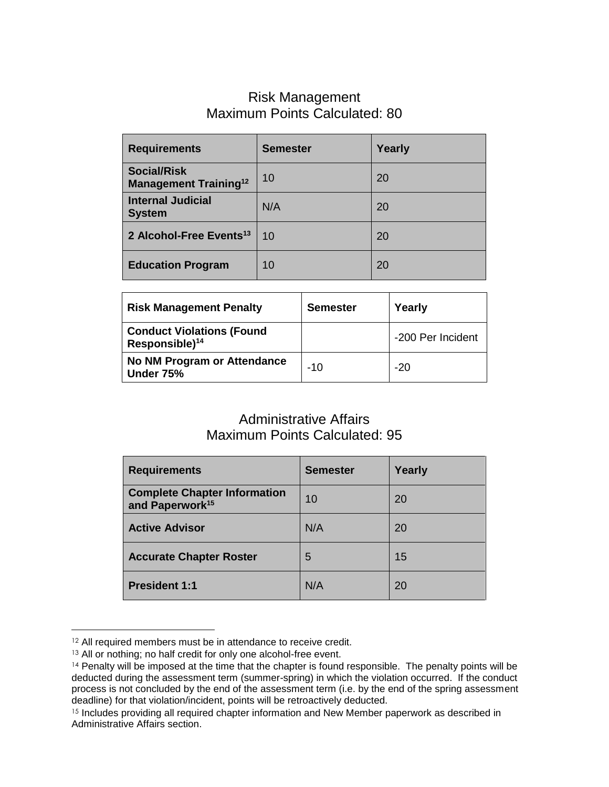### Risk Management Maximum Points Calculated: 80

| <b>Requirements</b>                                            | <b>Semester</b> | Yearly |
|----------------------------------------------------------------|-----------------|--------|
| <b>Social/Risk</b><br><b>Management Training</b> <sup>12</sup> | 10              | 20     |
| <b>Internal Judicial</b><br><b>System</b>                      | N/A             | 20     |
| 2 Alcohol-Free Events <sup>13</sup>                            | 10              | 20     |
| <b>Education Program</b>                                       | 10              | 20     |

| <b>Risk Management Penalty</b>                                 | <b>Semester</b> | Yearly            |
|----------------------------------------------------------------|-----------------|-------------------|
| <b>Conduct Violations (Found</b><br>Responsible) <sup>14</sup> |                 | -200 Per Incident |
| No NM Program or Attendance<br>Under 75%                       | $-10$           | $-20$             |

### Administrative Affairs Maximum Points Calculated: 95

| <b>Requirements</b>                                                | <b>Semester</b> | Yearly |
|--------------------------------------------------------------------|-----------------|--------|
| <b>Complete Chapter Information</b><br>and Paperwork <sup>15</sup> | 10              | 20     |
| <b>Active Advisor</b>                                              | N/A             | 20     |
| <b>Accurate Chapter Roster</b>                                     | 5               | 15     |
| <b>President 1:1</b>                                               | N/A             | 20     |

<sup>&</sup>lt;sup>12</sup> All required members must be in attendance to receive credit.

 $\overline{a}$ 

<sup>&</sup>lt;sup>13</sup> All or nothing; no half credit for only one alcohol-free event.

<sup>14</sup> Penalty will be imposed at the time that the chapter is found responsible. The penalty points will be deducted during the assessment term (summer-spring) in which the violation occurred. If the conduct process is not concluded by the end of the assessment term (i.e. by the end of the spring assessment deadline) for that violation/incident, points will be retroactively deducted.

<sup>&</sup>lt;sup>15</sup> Includes providing all required chapter information and New Member paperwork as described in Administrative Affairs section.